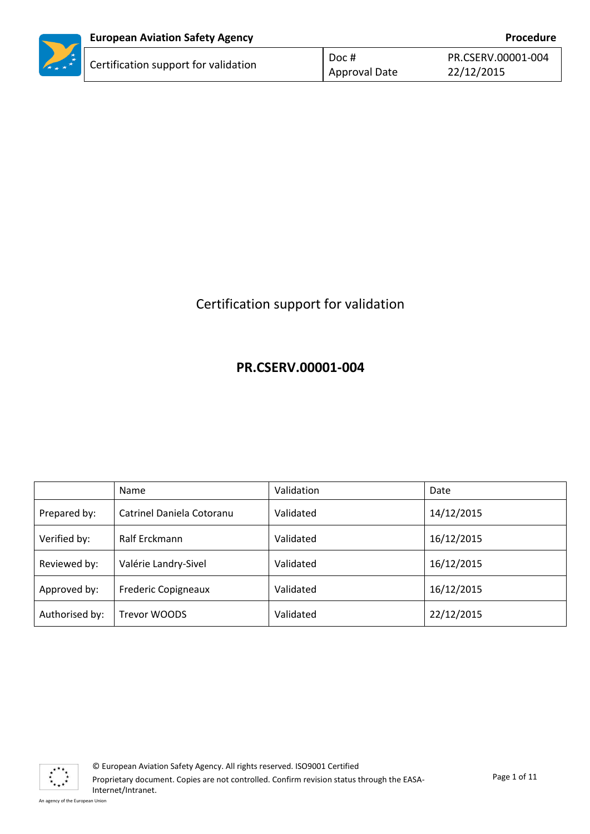# Certification support for validation

## **PR.CSERV.00001-004**

|                | Name                       | Validation | Date       |
|----------------|----------------------------|------------|------------|
| Prepared by:   | Catrinel Daniela Cotoranu  | Validated  | 14/12/2015 |
| Verified by:   | Ralf Erckmann              | Validated  | 16/12/2015 |
| Reviewed by:   | Valérie Landry-Sivel       | Validated  | 16/12/2015 |
| Approved by:   | <b>Frederic Copigneaux</b> | Validated  | 16/12/2015 |
| Authorised by: | Trevor WOODS               | Validated  | 22/12/2015 |

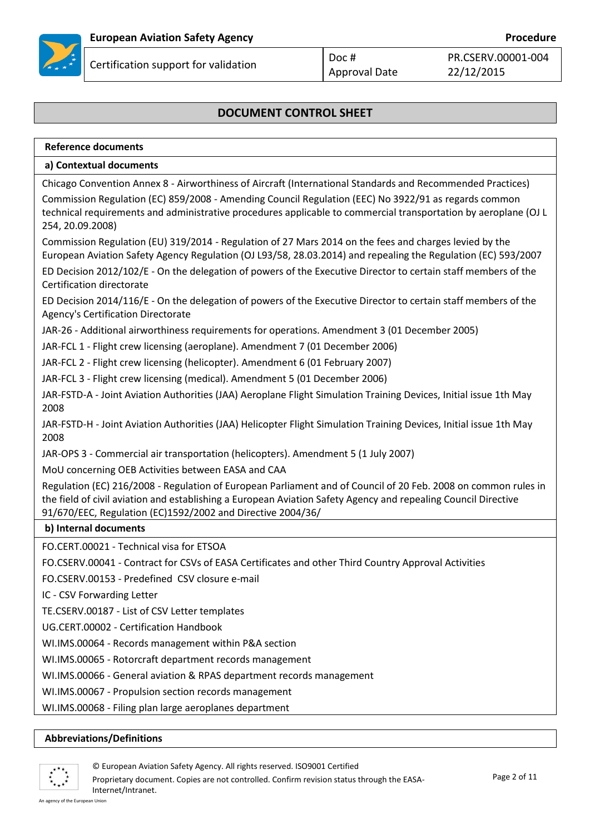

PR.CSERV.00001-004

22/12/2015

## **DOCUMENT CONTROL SHEET**

| <b>Reference documents</b>                                                                                                                                                                                                                                                                      |
|-------------------------------------------------------------------------------------------------------------------------------------------------------------------------------------------------------------------------------------------------------------------------------------------------|
| a) Contextual documents                                                                                                                                                                                                                                                                         |
| Chicago Convention Annex 8 - Airworthiness of Aircraft (International Standards and Recommended Practices)                                                                                                                                                                                      |
| Commission Regulation (EC) 859/2008 - Amending Council Regulation (EEC) No 3922/91 as regards common<br>technical requirements and administrative procedures applicable to commercial transportation by aeroplane (OJ L<br>254, 20.09.2008)                                                     |
| Commission Regulation (EU) 319/2014 - Regulation of 27 Mars 2014 on the fees and charges levied by the<br>European Aviation Safety Agency Regulation (OJ L93/58, 28.03.2014) and repealing the Regulation (EC) 593/2007                                                                         |
| ED Decision 2012/102/E - On the delegation of powers of the Executive Director to certain staff members of the<br>Certification directorate                                                                                                                                                     |
| ED Decision 2014/116/E - On the delegation of powers of the Executive Director to certain staff members of the<br>Agency's Certification Directorate                                                                                                                                            |
| JAR-26 - Additional airworthiness requirements for operations. Amendment 3 (01 December 2005)                                                                                                                                                                                                   |
| JAR-FCL 1 - Flight crew licensing (aeroplane). Amendment 7 (01 December 2006)                                                                                                                                                                                                                   |
| JAR-FCL 2 - Flight crew licensing (helicopter). Amendment 6 (01 February 2007)                                                                                                                                                                                                                  |
| JAR-FCL 3 - Flight crew licensing (medical). Amendment 5 (01 December 2006)                                                                                                                                                                                                                     |
| JAR-FSTD-A - Joint Aviation Authorities (JAA) Aeroplane Flight Simulation Training Devices, Initial issue 1th May<br>2008                                                                                                                                                                       |
| JAR-FSTD-H - Joint Aviation Authorities (JAA) Helicopter Flight Simulation Training Devices, Initial issue 1th May<br>2008                                                                                                                                                                      |
| JAR-OPS 3 - Commercial air transportation (helicopters). Amendment 5 (1 July 2007)                                                                                                                                                                                                              |
| MoU concerning OEB Activities between EASA and CAA                                                                                                                                                                                                                                              |
| Regulation (EC) 216/2008 - Regulation of European Parliament and of Council of 20 Feb. 2008 on common rules in<br>the field of civil aviation and establishing a European Aviation Safety Agency and repealing Council Directive<br>91/670/EEC, Regulation (EC)1592/2002 and Directive 2004/36/ |
| b) Internal documents                                                                                                                                                                                                                                                                           |
| FO.CERT.00021 - Technical visa for ETSOA                                                                                                                                                                                                                                                        |
| FO.CSERV.00041 - Contract for CSVs of EASA Certificates and other Third Country Approval Activities                                                                                                                                                                                             |
| FO.CSERV.00153 - Predefined CSV closure e-mail                                                                                                                                                                                                                                                  |
| IC - CSV Forwarding Letter                                                                                                                                                                                                                                                                      |
| TE.CSERV.00187 - List of CSV Letter templates                                                                                                                                                                                                                                                   |
| UG.CERT.00002 - Certification Handbook                                                                                                                                                                                                                                                          |
| WI.IMS.00064 - Records management within P&A section                                                                                                                                                                                                                                            |
| WI.IMS.00065 - Rotorcraft department records management                                                                                                                                                                                                                                         |
| WI.IMS.00066 - General aviation & RPAS department records management                                                                                                                                                                                                                            |
| WI.IMS.00067 - Propulsion section records management                                                                                                                                                                                                                                            |

WI.IMS.00068 - Filing plan large aeroplanes department

#### **Abbreviations/Definitions**



© European Aviation Safety Agency. All rights reserved. ISO9001 Certified

Proprietary document. Copies are not controlled. Confirm revision status through the EASA-Internet/Intranet.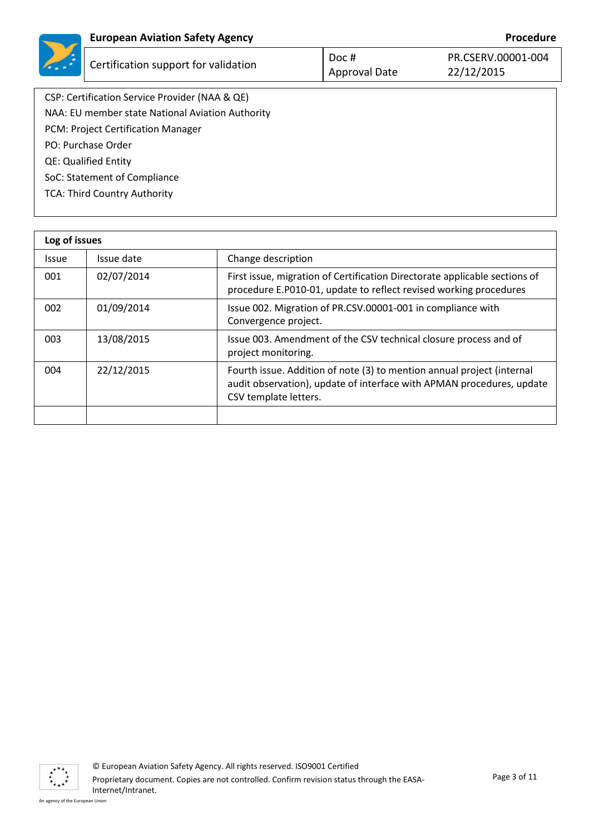| <b>European Aviation Safety Agency</b>           |                               | <b>Procedure</b>                 |  |
|--------------------------------------------------|-------------------------------|----------------------------------|--|
| Certification support for validation             | Doc #<br><b>Approval Date</b> | PR.CSERV.00001-004<br>22/12/2015 |  |
| CSP: Certification Service Provider (NAA & QE)   |                               |                                  |  |
| NAA: EU member state National Aviation Authority |                               |                                  |  |
| <b>PCM: Project Certification Manager</b>        |                               |                                  |  |
| PO: Purchase Order                               |                               |                                  |  |
| <b>QE: Qualified Entity</b>                      |                               |                                  |  |
| SoC: Statement of Compliance                     |                               |                                  |  |
| <b>TCA: Third Country Authority</b>              |                               |                                  |  |
|                                                  |                               |                                  |  |

| Log of issues |            |                                                                                                                                                                          |
|---------------|------------|--------------------------------------------------------------------------------------------------------------------------------------------------------------------------|
| <b>Issue</b>  | Issue date | Change description                                                                                                                                                       |
| 001           | 02/07/2014 | First issue, migration of Certification Directorate applicable sections of<br>procedure E.P010-01, update to reflect revised working procedures                          |
| 002           | 01/09/2014 | Issue 002. Migration of PR.CSV.00001-001 in compliance with<br>Convergence project.                                                                                      |
| 003           | 13/08/2015 | Issue 003. Amendment of the CSV technical closure process and of<br>project monitoring.                                                                                  |
| 004           | 22/12/2015 | Fourth issue. Addition of note (3) to mention annual project (internal<br>audit observation), update of interface with APMAN procedures, update<br>CSV template letters. |
|               |            |                                                                                                                                                                          |

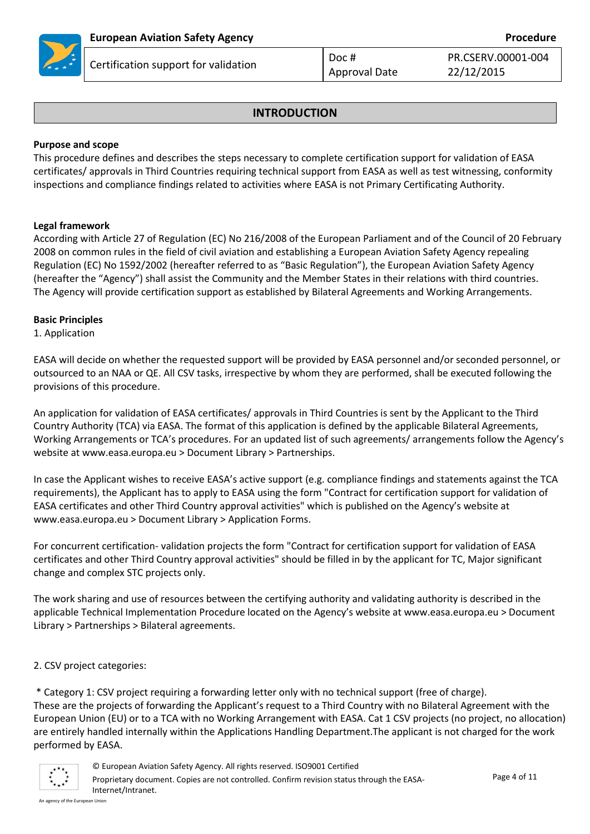

Approval Date

### **INTRODUCTION**

#### **Purpose and scope**

This procedure defines and describes the steps necessary to complete certification support for validation of EASA certificates/ approvals in Third Countries requiring technical support from EASA as well as test witnessing, conformity inspections and compliance findings related to activities where EASA is not Primary Certificating Authority.

#### **Legal framework**

According with Article 27 of Regulation (EC) No 216/2008 of the European Parliament and of the Council of 20 February 2008 on common rules in the field of civil aviation and establishing a European Aviation Safety Agency repealing Regulation (EC) No 1592/2002 (hereafter referred to as "Basic Regulation"), the European Aviation Safety Agency (hereafter the "Agency") shall assist the Community and the Member States in their relations with third countries. The Agency will provide certification support as established by Bilateral Agreements and Working Arrangements.

#### **Basic Principles**

1. Application

EASA will decide on whether the requested support will be provided by EASA personnel and/or seconded personnel, or outsourced to an NAA or QE. All CSV tasks, irrespective by whom they are performed, shall be executed following the provisions of this procedure.

An application for validation of EASA certificates/ approvals in Third Countries is sent by the Applicant to the Third Country Authority (TCA) via EASA. The format of this application is defined by the applicable Bilateral Agreements, Working Arrangements or TCA's procedures. For an updated list of such agreements/ arrangements follow the Agency's website at www.easa.europa.eu > Document Library > Partnerships.

In case the Applicant wishes to receive EASA's active support (e.g. compliance findings and statements against the TCA requirements), the Applicant has to apply to EASA using the form "Contract for certification support for validation of EASA certificates and other Third Country approval activities" which is published on the Agency's website at www.easa.europa.eu > Document Library > Application Forms.

For concurrent certification- validation projects the form "Contract for certification support for validation of EASA certificates and other Third Country approval activities" should be filled in by the applicant for TC, Major significant change and complex STC projects only.

The work sharing and use of resources between the certifying authority and validating authority is described in the applicable Technical Implementation Procedure located on the Agency's website at www.easa.europa.eu > Document Library > Partnerships > Bilateral agreements.

2. CSV project categories:

\* Category 1: CSV project requiring a forwarding letter only with no technical support (free of charge). These are the projects of forwarding the Applicant's request to a Third Country with no Bilateral Agreement with the European Union (EU) or to a TCA with no Working Arrangement with EASA. Cat 1 CSV projects (no project, no allocation) are entirely handled internally within the Applications Handling Department.The applicant is not charged for the work performed by EASA.



© European Aviation Safety Agency. All rights reserved. ISO9001 Certified Proprietary document. Copies are not controlled. Confirm revision status through the EASA-Internet/Intranet.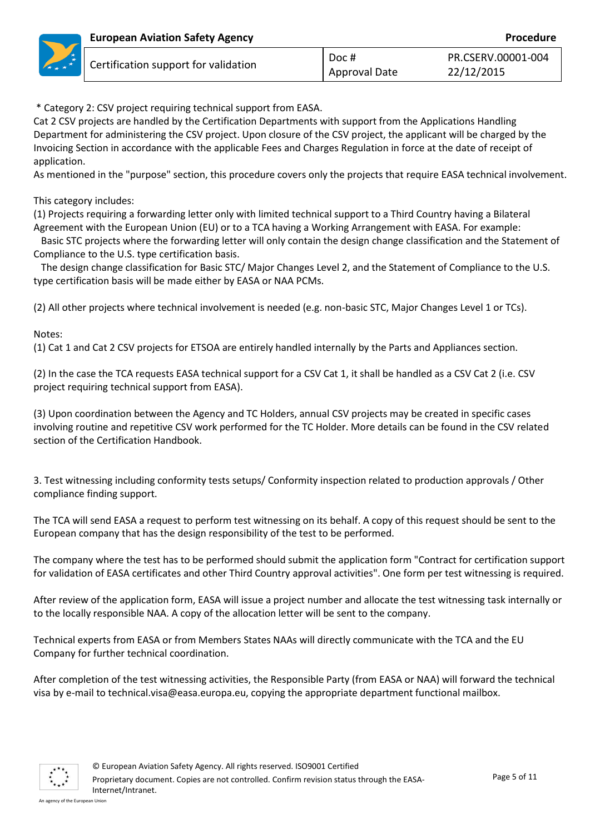\* Category 2: CSV project requiring technical support from EASA.

Cat 2 CSV projects are handled by the Certification Departments with support from the Applications Handling Department for administering the CSV project. Upon closure of the CSV project, the applicant will be charged by the Invoicing Section in accordance with the applicable Fees and Charges Regulation in force at the date of receipt of application.

As mentioned in the "purpose" section, this procedure covers only the projects that require EASA technical involvement.

This category includes:

(1) Projects requiring a forwarding letter only with limited technical support to a Third Country having a Bilateral Agreement with the European Union (EU) or to a TCA having a Working Arrangement with EASA. For example:

 Basic STC projects where the forwarding letter will only contain the design change classification and the Statement of Compliance to the U.S. type certification basis.

 The design change classification for Basic STC/ Major Changes Level 2, and the Statement of Compliance to the U.S. type certification basis will be made either by EASA or NAA PCMs.

(2) All other projects where technical involvement is needed (e.g. non-basic STC, Major Changes Level 1 or TCs).

Notes:

(1) Cat 1 and Cat 2 CSV projects for ETSOA are entirely handled internally by the Parts and Appliances section.

(2) In the case the TCA requests EASA technical support for a CSV Cat 1, it shall be handled as a CSV Cat 2 (i.e. CSV project requiring technical support from EASA).

(3) Upon coordination between the Agency and TC Holders, annual CSV projects may be created in specific cases involving routine and repetitive CSV work performed for the TC Holder. More details can be found in the CSV related section of the Certification Handbook.

3. Test witnessing including conformity tests setups/ Conformity inspection related to production approvals / Other compliance finding support.

The TCA will send EASA a request to perform test witnessing on its behalf. A copy of this request should be sent to the European company that has the design responsibility of the test to be performed.

The company where the test has to be performed should submit the application form "Contract for certification support for validation of EASA certificates and other Third Country approval activities". One form per test witnessing is required.

After review of the application form, EASA will issue a project number and allocate the test witnessing task internally or to the locally responsible NAA. A copy of the allocation letter will be sent to the company.

Technical experts from EASA or from Members States NAAs will directly communicate with the TCA and the EU Company for further technical coordination.

After completion of the test witnessing activities, the Responsible Party (from EASA or NAA) will forward the technical visa by e-mail to technical.visa@easa.europa.eu, copying the appropriate department functional mailbox.

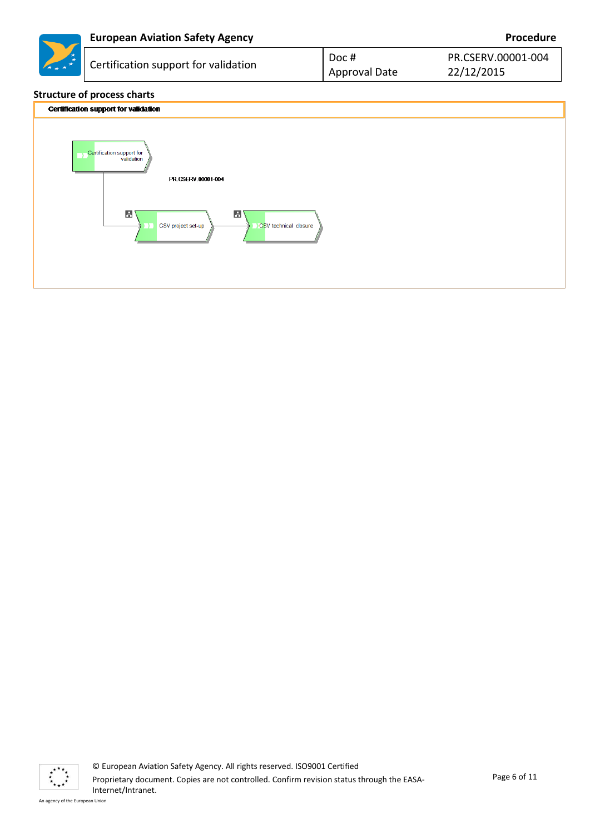| <b>European Aviation Safety Agency</b> |                               | Procedure                        |
|----------------------------------------|-------------------------------|----------------------------------|
| Certification support for validation   | Doc #<br><b>Approval Date</b> | PR.CSERV.00001-004<br>22/12/2015 |

#### **Structure of process charts**



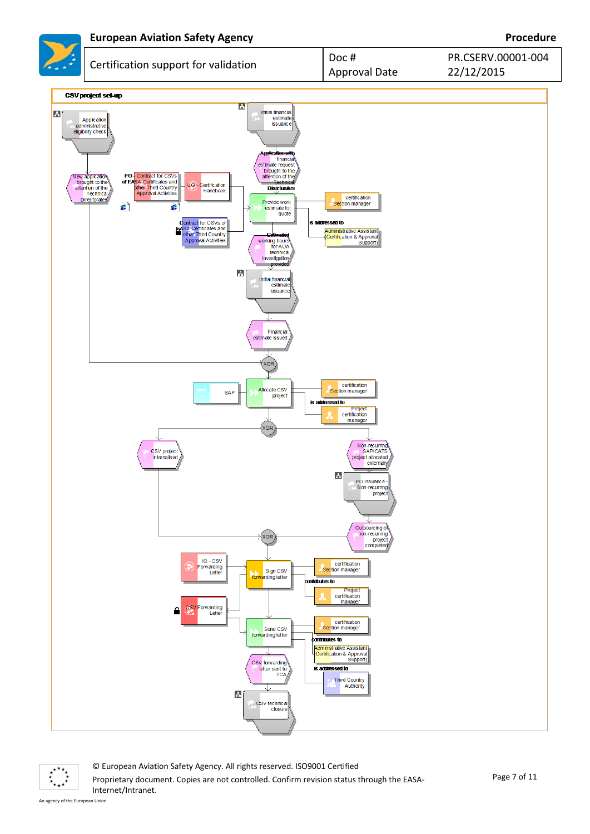



© European Aviation Safety Agency. All rights reserved. ISO9001 Certified Proprietary document. Copies are not controlled. Confirm revision status through the EASA-Internet/Intranet.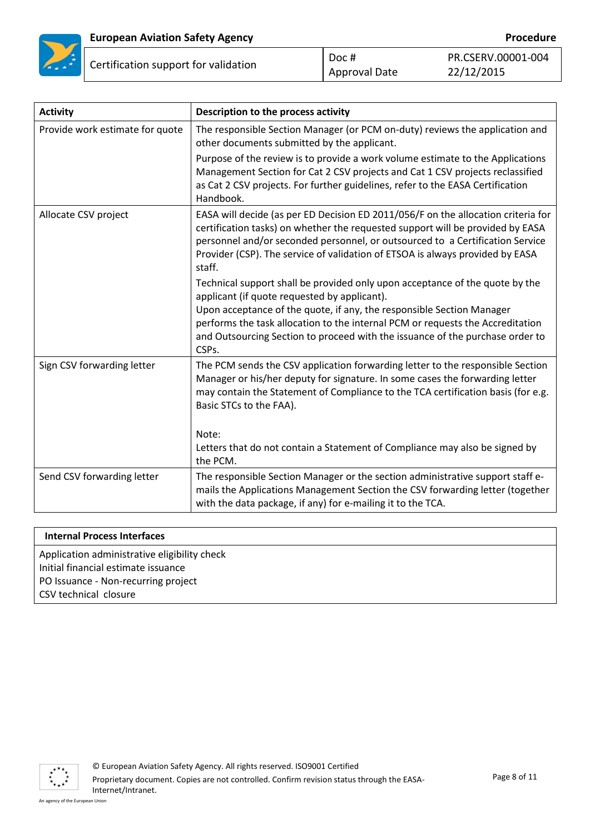

| $\vert$ Doc # | PR.CSERV.00001-004 |
|---------------|--------------------|
| Approval Date | 22/12/2015         |

| <b>Activity</b>                 | Description to the process activity                                                                                                                                                                                                                                                                                                             |
|---------------------------------|-------------------------------------------------------------------------------------------------------------------------------------------------------------------------------------------------------------------------------------------------------------------------------------------------------------------------------------------------|
| Provide work estimate for quote | The responsible Section Manager (or PCM on-duty) reviews the application and<br>other documents submitted by the applicant.                                                                                                                                                                                                                     |
|                                 | Purpose of the review is to provide a work volume estimate to the Applications<br>Management Section for Cat 2 CSV projects and Cat 1 CSV projects reclassified<br>as Cat 2 CSV projects. For further guidelines, refer to the EASA Certification<br>Handbook.                                                                                  |
| Allocate CSV project            | EASA will decide (as per ED Decision ED 2011/056/F on the allocation criteria for<br>certification tasks) on whether the requested support will be provided by EASA<br>personnel and/or seconded personnel, or outsourced to a Certification Service<br>Provider (CSP). The service of validation of ETSOA is always provided by EASA<br>staff. |
|                                 | Technical support shall be provided only upon acceptance of the quote by the<br>applicant (if quote requested by applicant).<br>Upon acceptance of the quote, if any, the responsible Section Manager                                                                                                                                           |
|                                 | performs the task allocation to the internal PCM or requests the Accreditation<br>and Outsourcing Section to proceed with the issuance of the purchase order to<br>CSPs.                                                                                                                                                                        |
| Sign CSV forwarding letter      | The PCM sends the CSV application forwarding letter to the responsible Section<br>Manager or his/her deputy for signature. In some cases the forwarding letter<br>may contain the Statement of Compliance to the TCA certification basis (for e.g.<br>Basic STCs to the FAA).                                                                   |
|                                 | Note:<br>Letters that do not contain a Statement of Compliance may also be signed by<br>the PCM.                                                                                                                                                                                                                                                |
| Send CSV forwarding letter      | The responsible Section Manager or the section administrative support staff e-<br>mails the Applications Management Section the CSV forwarding letter (together<br>with the data package, if any) for e-mailing it to the TCA.                                                                                                                  |

| <b>Internal Process Interfaces</b>           |
|----------------------------------------------|
| Application administrative eligibility check |
| Initial financial estimate issuance          |
| PO Issuance - Non-recurring project          |
| CSV technical closure                        |
|                                              |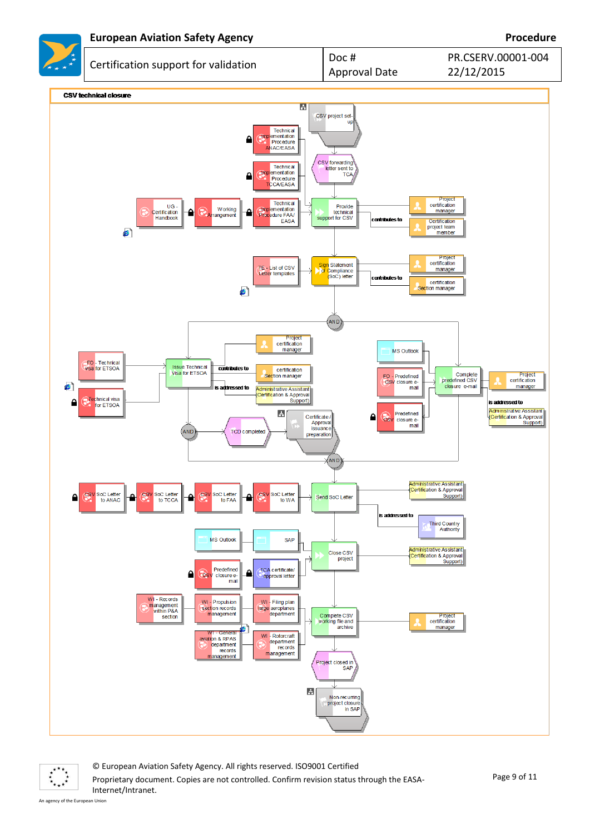

 $\frac{x}{x} + \frac{1}{x}$ 

© European Aviation Safety Agency. All rights reserved. ISO9001 Certified Proprietary document. Copies are not controlled. Confirm revision status through the EASA-Internet/Intranet.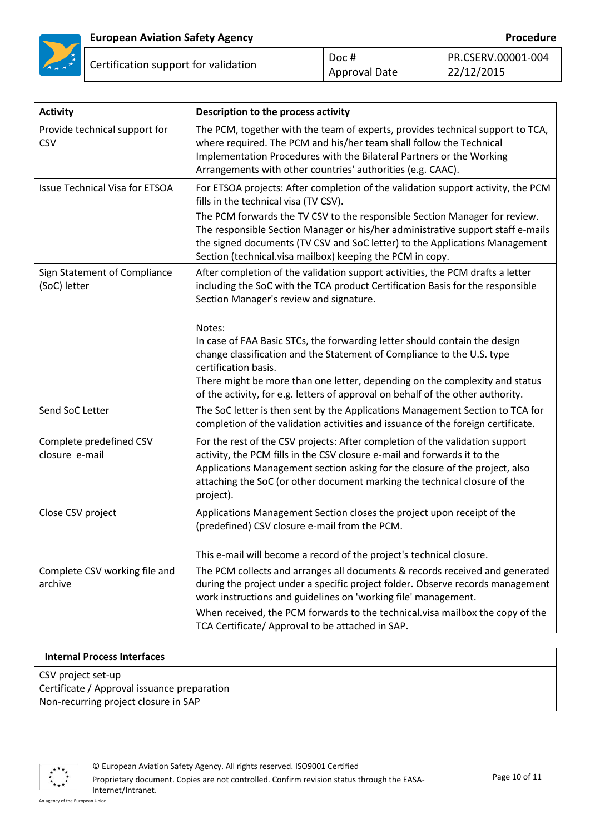

|                                      | $\vert$ Doc # |
|--------------------------------------|---------------|
| Certification support for validation | $h$ nnrs      |

| $\vert$ Doc #        | PR.CSERV.00001-004 |
|----------------------|--------------------|
| <b>Approval Date</b> | 22/12/2015         |

| <b>Activity</b>                              | Description to the process activity                                                                                                                                                                                                                                                                                               |
|----------------------------------------------|-----------------------------------------------------------------------------------------------------------------------------------------------------------------------------------------------------------------------------------------------------------------------------------------------------------------------------------|
| Provide technical support for<br>CSV         | The PCM, together with the team of experts, provides technical support to TCA,<br>where required. The PCM and his/her team shall follow the Technical<br>Implementation Procedures with the Bilateral Partners or the Working<br>Arrangements with other countries' authorities (e.g. CAAC).                                      |
| <b>Issue Technical Visa for ETSOA</b>        | For ETSOA projects: After completion of the validation support activity, the PCM<br>fills in the technical visa (TV CSV).                                                                                                                                                                                                         |
|                                              | The PCM forwards the TV CSV to the responsible Section Manager for review.<br>The responsible Section Manager or his/her administrative support staff e-mails<br>the signed documents (TV CSV and SoC letter) to the Applications Management<br>Section (technical.visa mailbox) keeping the PCM in copy.                         |
| Sign Statement of Compliance<br>(SoC) letter | After completion of the validation support activities, the PCM drafts a letter<br>including the SoC with the TCA product Certification Basis for the responsible<br>Section Manager's review and signature.                                                                                                                       |
|                                              | Notes:<br>In case of FAA Basic STCs, the forwarding letter should contain the design<br>change classification and the Statement of Compliance to the U.S. type<br>certification basis.<br>There might be more than one letter, depending on the complexity and status                                                             |
|                                              | of the activity, for e.g. letters of approval on behalf of the other authority.                                                                                                                                                                                                                                                   |
| Send SoC Letter                              | The SoC letter is then sent by the Applications Management Section to TCA for<br>completion of the validation activities and issuance of the foreign certificate.                                                                                                                                                                 |
| Complete predefined CSV<br>closure e-mail    | For the rest of the CSV projects: After completion of the validation support<br>activity, the PCM fills in the CSV closure e-mail and forwards it to the<br>Applications Management section asking for the closure of the project, also<br>attaching the SoC (or other document marking the technical closure of the<br>project). |
| Close CSV project                            | Applications Management Section closes the project upon receipt of the<br>(predefined) CSV closure e-mail from the PCM.                                                                                                                                                                                                           |
|                                              | This e-mail will become a record of the project's technical closure.<br>The PCM collects and arranges all documents & records received and generated                                                                                                                                                                              |
| Complete CSV working file and<br>archive     | during the project under a specific project folder. Observe records management<br>work instructions and guidelines on 'working file' management.                                                                                                                                                                                  |
|                                              | When received, the PCM forwards to the technical visa mailbox the copy of the<br>TCA Certificate/ Approval to be attached in SAP.                                                                                                                                                                                                 |

## **Internal Process Interfaces** CSV project set-up Certificate / Approval issuance preparation Non-recurring project closure in SAP